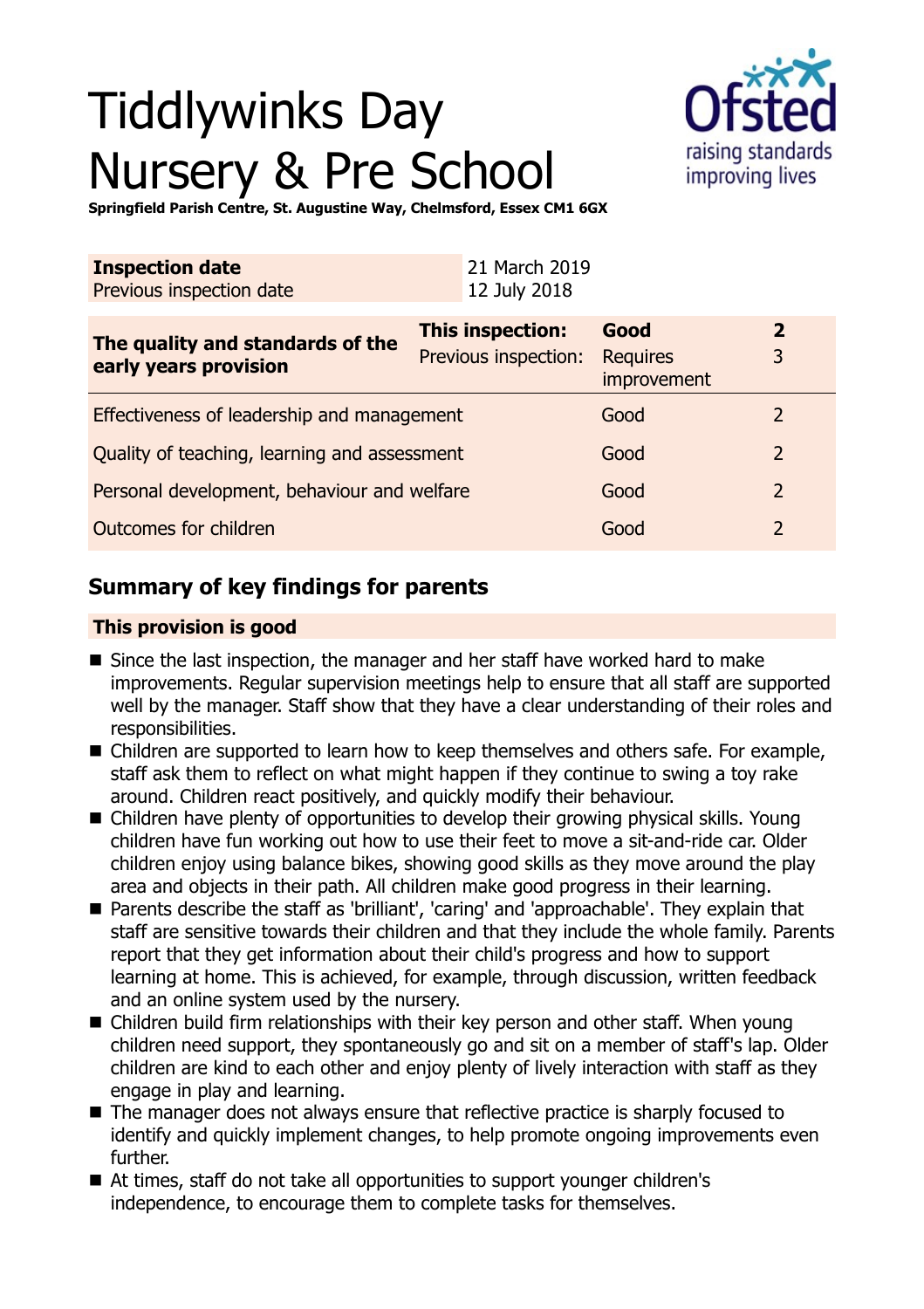# Tiddlywinks Day Nursery & Pre School



**Springfield Parish Centre, St. Augustine Way, Chelmsford, Essex CM1 6GX**

| <b>Inspection date</b><br>Previous inspection date        | 21 March 2019<br>12 July 2018            |                                        |                              |  |
|-----------------------------------------------------------|------------------------------------------|----------------------------------------|------------------------------|--|
| The quality and standards of the<br>early years provision | This inspection:<br>Previous inspection: | Good<br><b>Requires</b><br>improvement | $\overline{\mathbf{2}}$<br>3 |  |
| Effectiveness of leadership and management                |                                          | Good                                   | $\mathcal{L}$                |  |
| Quality of teaching, learning and assessment              |                                          | Good                                   | $\overline{2}$               |  |
| Personal development, behaviour and welfare               |                                          | Good                                   | 2                            |  |
| Outcomes for children                                     |                                          | Good                                   | 2                            |  |

## **Summary of key findings for parents**

## **This provision is good**

- $\blacksquare$  Since the last inspection, the manager and her staff have worked hard to make improvements. Regular supervision meetings help to ensure that all staff are supported well by the manager. Staff show that they have a clear understanding of their roles and responsibilities.
- Children are supported to learn how to keep themselves and others safe. For example, staff ask them to reflect on what might happen if they continue to swing a toy rake around. Children react positively, and quickly modify their behaviour.
- Children have plenty of opportunities to develop their growing physical skills. Young children have fun working out how to use their feet to move a sit-and-ride car. Older children enjoy using balance bikes, showing good skills as they move around the play area and objects in their path. All children make good progress in their learning.
- Parents describe the staff as 'brilliant', 'caring' and 'approachable'. They explain that staff are sensitive towards their children and that they include the whole family. Parents report that they get information about their child's progress and how to support learning at home. This is achieved, for example, through discussion, written feedback and an online system used by the nursery.
- $\blacksquare$  Children build firm relationships with their key person and other staff. When young children need support, they spontaneously go and sit on a member of staff's lap. Older children are kind to each other and enjoy plenty of lively interaction with staff as they engage in play and learning.
- $\blacksquare$  The manager does not always ensure that reflective practice is sharply focused to identify and quickly implement changes, to help promote ongoing improvements even further.
- At times, staff do not take all opportunities to support younger children's independence, to encourage them to complete tasks for themselves.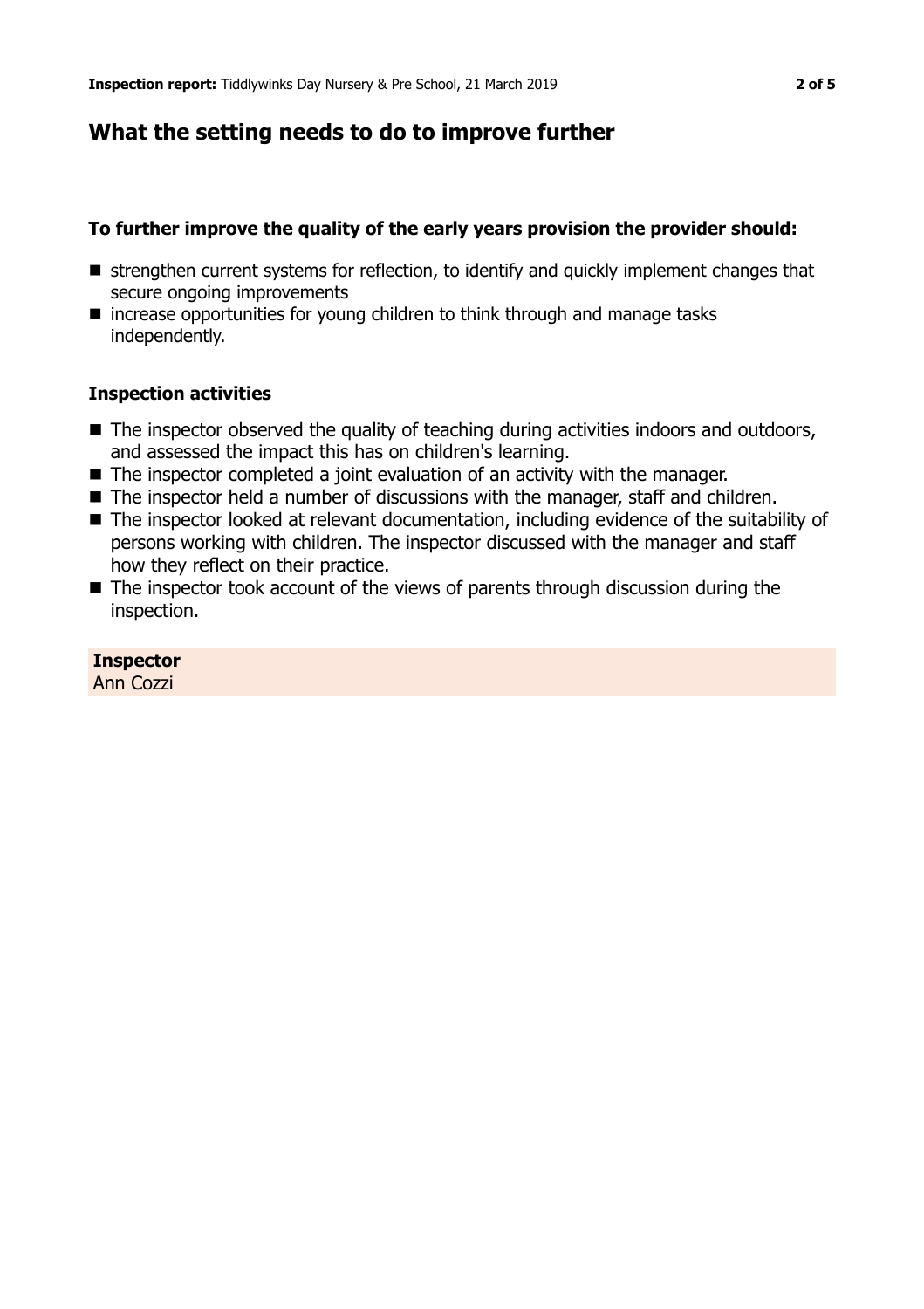# **What the setting needs to do to improve further**

## **To further improve the quality of the early years provision the provider should:**

- $\blacksquare$  strengthen current systems for reflection, to identify and quickly implement changes that secure ongoing improvements
- $\blacksquare$  increase opportunities for young children to think through and manage tasks independently.

## **Inspection activities**

- $\blacksquare$  The inspector observed the quality of teaching during activities indoors and outdoors, and assessed the impact this has on children's learning.
- $\blacksquare$  The inspector completed a joint evaluation of an activity with the manager.
- $\blacksquare$  The inspector held a number of discussions with the manager, staff and children.
- The inspector looked at relevant documentation, including evidence of the suitability of persons working with children. The inspector discussed with the manager and staff how they reflect on their practice.
- $\blacksquare$  The inspector took account of the views of parents through discussion during the inspection.

## **Inspector**

Ann Cozzi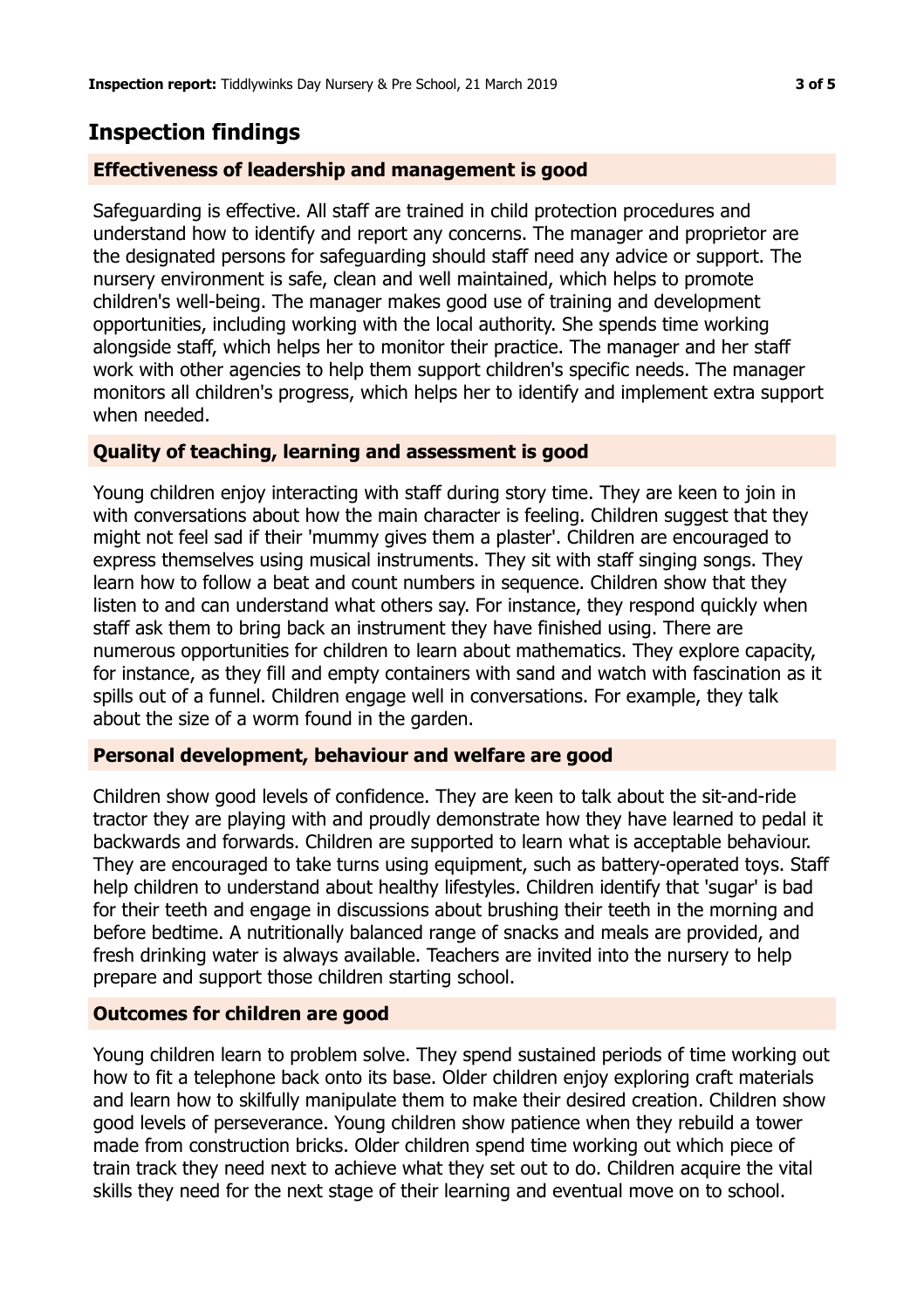# **Inspection findings**

## **Effectiveness of leadership and management is good**

Safeguarding is effective. All staff are trained in child protection procedures and understand how to identify and report any concerns. The manager and proprietor are the designated persons for safeguarding should staff need any advice or support. The nursery environment is safe, clean and well maintained, which helps to promote children's well-being. The manager makes good use of training and development opportunities, including working with the local authority. She spends time working alongside staff, which helps her to monitor their practice. The manager and her staff work with other agencies to help them support children's specific needs. The manager monitors all children's progress, which helps her to identify and implement extra support when needed.

### **Quality of teaching, learning and assessment is good**

Young children enjoy interacting with staff during story time. They are keen to join in with conversations about how the main character is feeling. Children suggest that they might not feel sad if their 'mummy gives them a plaster'. Children are encouraged to express themselves using musical instruments. They sit with staff singing songs. They learn how to follow a beat and count numbers in sequence. Children show that they listen to and can understand what others say. For instance, they respond quickly when staff ask them to bring back an instrument they have finished using. There are numerous opportunities for children to learn about mathematics. They explore capacity, for instance, as they fill and empty containers with sand and watch with fascination as it spills out of a funnel. Children engage well in conversations. For example, they talk about the size of a worm found in the garden.

### **Personal development, behaviour and welfare are good**

Children show good levels of confidence. They are keen to talk about the sit-and-ride tractor they are playing with and proudly demonstrate how they have learned to pedal it backwards and forwards. Children are supported to learn what is acceptable behaviour. They are encouraged to take turns using equipment, such as battery-operated toys. Staff help children to understand about healthy lifestyles. Children identify that 'sugar' is bad for their teeth and engage in discussions about brushing their teeth in the morning and before bedtime. A nutritionally balanced range of snacks and meals are provided, and fresh drinking water is always available. Teachers are invited into the nursery to help prepare and support those children starting school.

### **Outcomes for children are good**

Young children learn to problem solve. They spend sustained periods of time working out how to fit a telephone back onto its base. Older children enjoy exploring craft materials and learn how to skilfully manipulate them to make their desired creation. Children show good levels of perseverance. Young children show patience when they rebuild a tower made from construction bricks. Older children spend time working out which piece of train track they need next to achieve what they set out to do. Children acquire the vital skills they need for the next stage of their learning and eventual move on to school.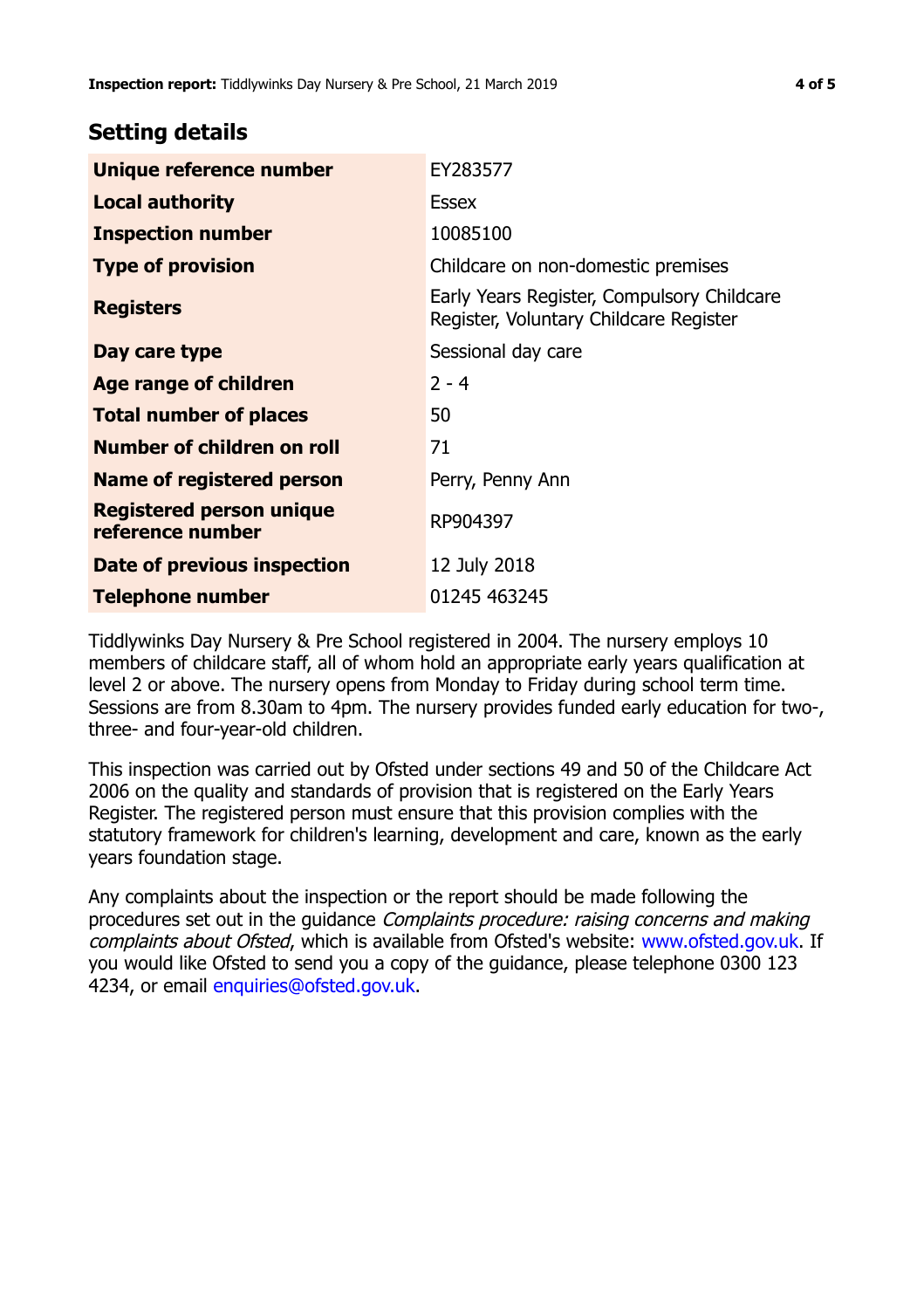## **Setting details**

| Unique reference number                             | EY283577                                                                             |  |
|-----------------------------------------------------|--------------------------------------------------------------------------------------|--|
| <b>Local authority</b>                              | Essex                                                                                |  |
| <b>Inspection number</b>                            | 10085100                                                                             |  |
| <b>Type of provision</b>                            | Childcare on non-domestic premises                                                   |  |
| <b>Registers</b>                                    | Early Years Register, Compulsory Childcare<br>Register, Voluntary Childcare Register |  |
| Day care type                                       | Sessional day care                                                                   |  |
| Age range of children                               | $2 - 4$                                                                              |  |
| <b>Total number of places</b>                       | 50                                                                                   |  |
| Number of children on roll                          | 71                                                                                   |  |
| Name of registered person                           | Perry, Penny Ann                                                                     |  |
| <b>Registered person unique</b><br>reference number | RP904397                                                                             |  |
| <b>Date of previous inspection</b>                  | 12 July 2018                                                                         |  |
| Telephone number                                    | 01245 463245                                                                         |  |

Tiddlywinks Day Nursery & Pre School registered in 2004. The nursery employs 10 members of childcare staff, all of whom hold an appropriate early years qualification at level 2 or above. The nursery opens from Monday to Friday during school term time. Sessions are from 8.30am to 4pm. The nursery provides funded early education for two-, three- and four-year-old children.

This inspection was carried out by Ofsted under sections 49 and 50 of the Childcare Act 2006 on the quality and standards of provision that is registered on the Early Years Register. The registered person must ensure that this provision complies with the statutory framework for children's learning, development and care, known as the early years foundation stage.

Any complaints about the inspection or the report should be made following the procedures set out in the guidance Complaints procedure: raising concerns and making complaints about Ofsted, which is available from Ofsted's website: www.ofsted.gov.uk. If you would like Ofsted to send you a copy of the guidance, please telephone 0300 123 4234, or email [enquiries@ofsted.gov.uk.](mailto:enquiries@ofsted.gov.uk)